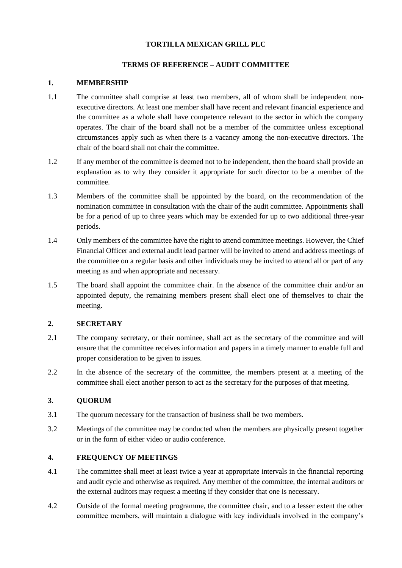## **TORTILLA MEXICAN GRILL PLC**

### **TERMS OF REFERENCE – AUDIT COMMITTEE**

### **1. MEMBERSHIP**

- 1.1 The committee shall comprise at least two members, all of whom shall be independent nonexecutive directors. At least one member shall have recent and relevant financial experience and the committee as a whole shall have competence relevant to the sector in which the company operates. The chair of the board shall not be a member of the committee unless exceptional circumstances apply such as when there is a vacancy among the non-executive directors. The chair of the board shall not chair the committee.
- 1.2 If any member of the committee is deemed not to be independent, then the board shall provide an explanation as to why they consider it appropriate for such director to be a member of the committee.
- 1.3 Members of the committee shall be appointed by the board, on the recommendation of the nomination committee in consultation with the chair of the audit committee. Appointments shall be for a period of up to three years which may be extended for up to two additional three-year periods.
- 1.4 Only members of the committee have the right to attend committee meetings. However, the Chief Financial Officer and external audit lead partner will be invited to attend and address meetings of the committee on a regular basis and other individuals may be invited to attend all or part of any meeting as and when appropriate and necessary.
- 1.5 The board shall appoint the committee chair. In the absence of the committee chair and/or an appointed deputy, the remaining members present shall elect one of themselves to chair the meeting.

### **2. SECRETARY**

- 2.1 The company secretary, or their nominee, shall act as the secretary of the committee and will ensure that the committee receives information and papers in a timely manner to enable full and proper consideration to be given to issues.
- 2.2 In the absence of the secretary of the committee, the members present at a meeting of the committee shall elect another person to act as the secretary for the purposes of that meeting.

## **3. QUORUM**

- 3.1 The quorum necessary for the transaction of business shall be two members.
- 3.2 Meetings of the committee may be conducted when the members are physically present together or in the form of either video or audio conference.

## **4. FREQUENCY OF MEETINGS**

- 4.1 The committee shall meet at least twice a year at appropriate intervals in the financial reporting and audit cycle and otherwise as required. Any member of the committee, the internal auditors or the external auditors may request a meeting if they consider that one is necessary.
- 4.2 Outside of the formal meeting programme, the committee chair, and to a lesser extent the other committee members, will maintain a dialogue with key individuals involved in the company's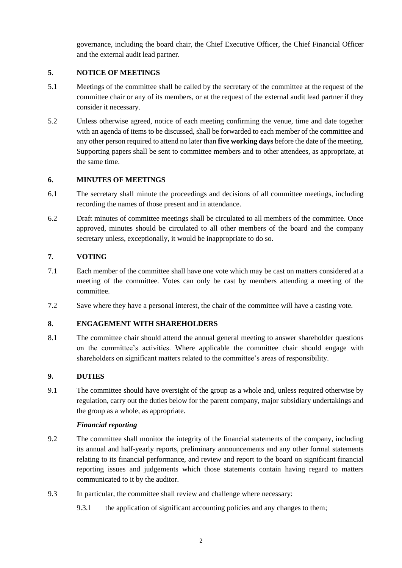governance, including the board chair, the Chief Executive Officer, the Chief Financial Officer and the external audit lead partner.

## **5. NOTICE OF MEETINGS**

- 5.1 Meetings of the committee shall be called by the secretary of the committee at the request of the committee chair or any of its members, or at the request of the external audit lead partner if they consider it necessary.
- 5.2 Unless otherwise agreed, notice of each meeting confirming the venue, time and date together with an agenda of items to be discussed, shall be forwarded to each member of the committee and any other person required to attend no later than **five working days** before the date of the meeting. Supporting papers shall be sent to committee members and to other attendees, as appropriate, at the same time.

## **6. MINUTES OF MEETINGS**

- 6.1 The secretary shall minute the proceedings and decisions of all committee meetings, including recording the names of those present and in attendance.
- 6.2 Draft minutes of committee meetings shall be circulated to all members of the committee. Once approved, minutes should be circulated to all other members of the board and the company secretary unless, exceptionally, it would be inappropriate to do so.

## **7. VOTING**

- 7.1 Each member of the committee shall have one vote which may be cast on matters considered at a meeting of the committee. Votes can only be cast by members attending a meeting of the committee.
- 7.2 Save where they have a personal interest, the chair of the committee will have a casting vote.

# **8. ENGAGEMENT WITH SHAREHOLDERS**

8.1 The committee chair should attend the annual general meeting to answer shareholder questions on the committee's activities. Where applicable the committee chair should engage with shareholders on significant matters related to the committee's areas of responsibility.

## **9. DUTIES**

9.1 The committee should have oversight of the group as a whole and, unless required otherwise by regulation, carry out the duties below for the parent company, major subsidiary undertakings and the group as a whole, as appropriate.

## <span id="page-1-0"></span>*Financial reporting*

- 9.2 The committee shall monitor the integrity of the financial statements of the company, including its annual and half-yearly reports, preliminary announcements and any other formal statements relating to its financial performance, and review and report to the board on significant financial reporting issues and judgements which those statements contain having regard to matters communicated to it by the auditor.
- 9.3 In particular, the committee shall review and challenge where necessary:
	- 9.3.1 the application of significant accounting policies and any changes to them;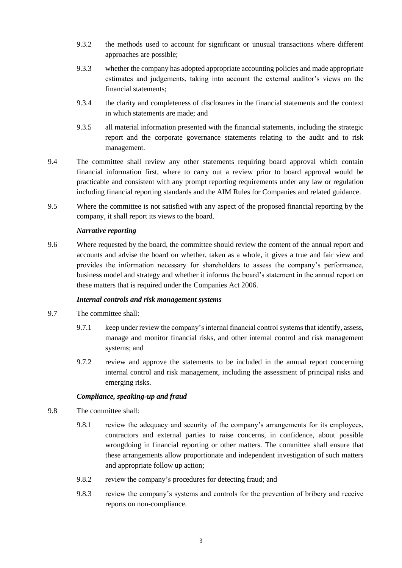- 9.3.2 the methods used to account for significant or unusual transactions where different approaches are possible;
- 9.3.3 whether the company has adopted appropriate accounting policies and made appropriate estimates and judgements, taking into account the external auditor's views on the financial statements;
- 9.3.4 the clarity and completeness of disclosures in the financial statements and the context in which statements are made; and
- 9.3.5 all material information presented with the financial statements, including the strategic report and the corporate governance statements relating to the audit and to risk management.
- 9.4 The committee shall review any other statements requiring board approval which contain financial information first, where to carry out a review prior to board approval would be practicable and consistent with any prompt reporting requirements under any law or regulation including financial reporting standards and the AIM Rules for Companies and related guidance.
- 9.5 Where the committee is not satisfied with any aspect of the proposed financial reporting by the company, it shall report its views to the board.

### *Narrative reporting*

9.6 Where requested by the board, the committee should review the content of the annual report and accounts and advise the board on whether, taken as a whole, it gives a true and fair view and provides the information necessary for shareholders to assess the company's performance, business model and strategy and whether it informs the board's statement in the annual report on these matters that is required under the Companies Act 2006.

#### *Internal controls and risk management systems*

- 9.7 The committee shall:
	- 9.7.1 keep under review the company's internal financial control systems that identify, assess, manage and monitor financial risks, and other internal control and risk management systems; and
	- 9.7.2 review and approve the statements to be included in the annual report concerning internal control and risk management, including the assessment of principal risks and emerging risks.

### *Compliance, speaking-up and fraud*

- 9.8 The committee shall:
	- 9.8.1 review the adequacy and security of the company's arrangements for its employees, contractors and external parties to raise concerns, in confidence, about possible wrongdoing in financial reporting or other matters. The committee shall ensure that these arrangements allow proportionate and independent investigation of such matters and appropriate follow up action;
	- 9.8.2 review the company's procedures for detecting fraud; and
	- 9.8.3 review the company's systems and controls for the prevention of bribery and receive reports on non-compliance.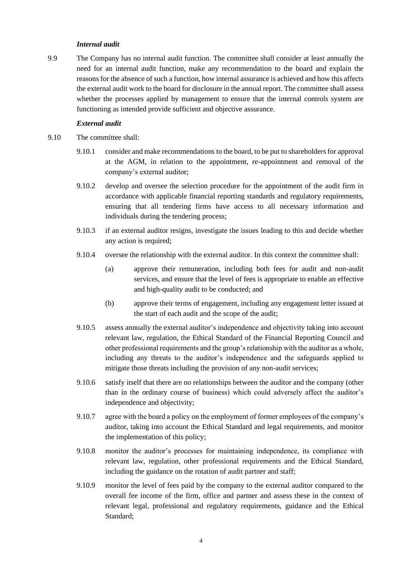#### *Internal audit*

9.9 The Company has no internal audit function. The committee shall consider at least annually the need for an internal audit function, make any recommendation to the board and explain the reasons for the absence of such a function, how internal assurance is achieved and how this affects the external audit work to the board for disclosure in the annual report. The committee shall assess whether the processes applied by management to ensure that the internal controls system are functioning as intended provide sufficient and objective assurance.

#### *External audit*

- 9.10 The committee shall:
	- 9.10.1 consider and make recommendations to the board, to be put to shareholders for approval at the AGM, in relation to the appointment, re-appointment and removal of the company's external auditor;
	- 9.10.2 develop and oversee the selection procedure for the appointment of the audit firm in accordance with applicable financial reporting standards and regulatory requirements, ensuring that all tendering firms have access to all necessary information and individuals during the tendering process;
	- 9.10.3 if an external auditor resigns, investigate the issues leading to this and decide whether any action is required;
	- 9.10.4 oversee the relationship with the external auditor. In this context the committee shall:
		- (a) approve their remuneration, including both fees for audit and non-audit services, and ensure that the level of fees is appropriate to enable an effective and high-quality audit to be conducted; and
		- (b) approve their terms of engagement, including any engagement letter issued at the start of each audit and the scope of the audit;
	- 9.10.5 assess annually the external auditor's independence and objectivity taking into account relevant law, regulation, the Ethical Standard of the Financial Reporting Council and other professional requirements and the group's relationship with the auditor as a whole, including any threats to the auditor's independence and the safeguards applied to mitigate those threats including the provision of any non-audit services;
	- 9.10.6 satisfy itself that there are no relationships between the auditor and the company (other than in the ordinary course of business) which could adversely affect the auditor's independence and objectivity;
	- 9.10.7 agree with the board a policy on the employment of former employees of the company's auditor, taking into account the Ethical Standard and legal requirements, and monitor the implementation of this policy;
	- 9.10.8 monitor the auditor's processes for maintaining independence, its compliance with relevant law, regulation, other professional requirements and the Ethical Standard, including the guidance on the rotation of audit partner and staff;
	- 9.10.9 monitor the level of fees paid by the company to the external auditor compared to the overall fee income of the firm, office and partner and assess these in the context of relevant legal, professional and regulatory requirements, guidance and the Ethical Standard;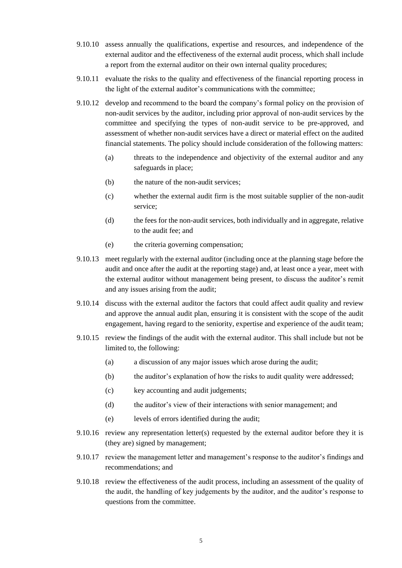- 9.10.10 assess annually the qualifications, expertise and resources, and independence of the external auditor and the effectiveness of the external audit process, which shall include a report from the external auditor on their own internal quality procedures;
- <span id="page-4-0"></span>9.10.11 evaluate the risks to the quality and effectiveness of the financial reporting process in the light of the external auditor's communications with the committee;
- 9.10.12 develop and recommend to the board the company's formal policy on the provision of non-audit services by the auditor, including prior approval of non-audit services by the committee and specifying the types of non-audit service to be pre-approved, and assessment of whether non-audit services have a direct or material effect on the audited financial statements. The policy should include consideration of the following matters:
	- (a) threats to the independence and objectivity of the external auditor and any safeguards in place;
	- (b) the nature of the non-audit services;
	- (c) whether the external audit firm is the most suitable supplier of the non-audit service;
	- (d) the fees for the non-audit services, both individually and in aggregate, relative to the audit fee; and
	- (e) the criteria governing compensation;
- 9.10.13 meet regularly with the external auditor (including once at the planning stage before the audit and once after the audit at the reporting stage) and, at least once a year, meet with the external auditor without management being present, to discuss the auditor's remit and any issues arising from the audit;
- 9.10.14 discuss with the external auditor the factors that could affect audit quality and review and approve the annual audit plan, ensuring it is consistent with the scope of the audit engagement, having regard to the seniority, expertise and experience of the audit team;
- 9.10.15 review the findings of the audit with the external auditor. This shall include but not be limited to, the following:
	- (a) a discussion of any major issues which arose during the audit;
	- (b) the auditor's explanation of how the risks to audit quality were addressed;
	- (c) key accounting and audit judgements;
	- (d) the auditor's view of their interactions with senior management; and
	- (e) levels of errors identified during the audit;
- 9.10.16 review any representation letter(s) requested by the external auditor before they it is (they are) signed by management;
- 9.10.17 review the management letter and management's response to the auditor's findings and recommendations; and
- 9.10.18 review the effectiveness of the audit process, including an assessment of the quality of the audit, the handling of key judgements by the auditor, and the auditor's response to questions from the committee.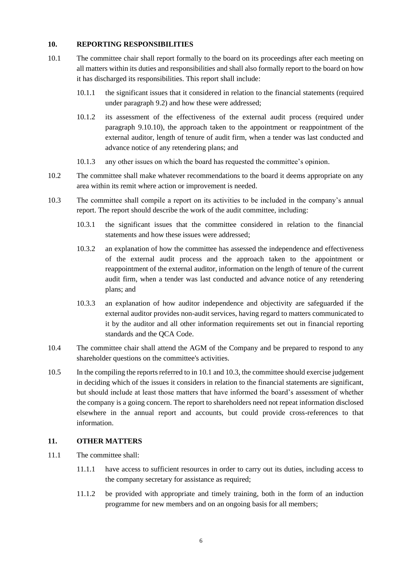### **10. REPORTING RESPONSIBILITIES**

- <span id="page-5-0"></span>10.1 The committee chair shall report formally to the board on its proceedings after each meeting on all matters within its duties and responsibilities and shall also formally report to the board on how it has discharged its responsibilities. This report shall include:
	- 10.1.1 the significant issues that it considered in relation to the financial statements (required under paragraph [9.2\)](#page-1-0) and how these were addressed;
	- 10.1.2 its assessment of the effectiveness of the external audit process (required under paragraph [9.10.10\)](#page-4-0), the approach taken to the appointment or reappointment of the external auditor, length of tenure of audit firm, when a tender was last conducted and advance notice of any retendering plans; and
	- 10.1.3 any other issues on which the board has requested the committee's opinion.
- 10.2 The committee shall make whatever recommendations to the board it deems appropriate on any area within its remit where action or improvement is needed.
- <span id="page-5-1"></span>10.3 The committee shall compile a report on its activities to be included in the company's annual report. The report should describe the work of the audit committee, including:
	- 10.3.1 the significant issues that the committee considered in relation to the financial statements and how these issues were addressed;
	- 10.3.2 an explanation of how the committee has assessed the independence and effectiveness of the external audit process and the approach taken to the appointment or reappointment of the external auditor, information on the length of tenure of the current audit firm, when a tender was last conducted and advance notice of any retendering plans; and
	- 10.3.3 an explanation of how auditor independence and objectivity are safeguarded if the external auditor provides non-audit services, having regard to matters communicated to it by the auditor and all other information requirements set out in financial reporting standards and the QCA Code.
- 10.4 The committee chair shall attend the AGM of the Company and be prepared to respond to any shareholder questions on the committee's activities.
- 10.5 In the compiling the reports referred to i[n 10.1](#page-5-0) and [10.3,](#page-5-1) the committee should exercise judgement in deciding which of the issues it considers in relation to the financial statements are significant, but should include at least those matters that have informed the board's assessment of whether the company is a going concern. The report to shareholders need not repeat information disclosed elsewhere in the annual report and accounts, but could provide cross-references to that information.

#### **11. OTHER MATTERS**

- 11.1 The committee shall:
	- 11.1.1 have access to sufficient resources in order to carry out its duties, including access to the company secretary for assistance as required;
	- 11.1.2 be provided with appropriate and timely training, both in the form of an induction programme for new members and on an ongoing basis for all members;